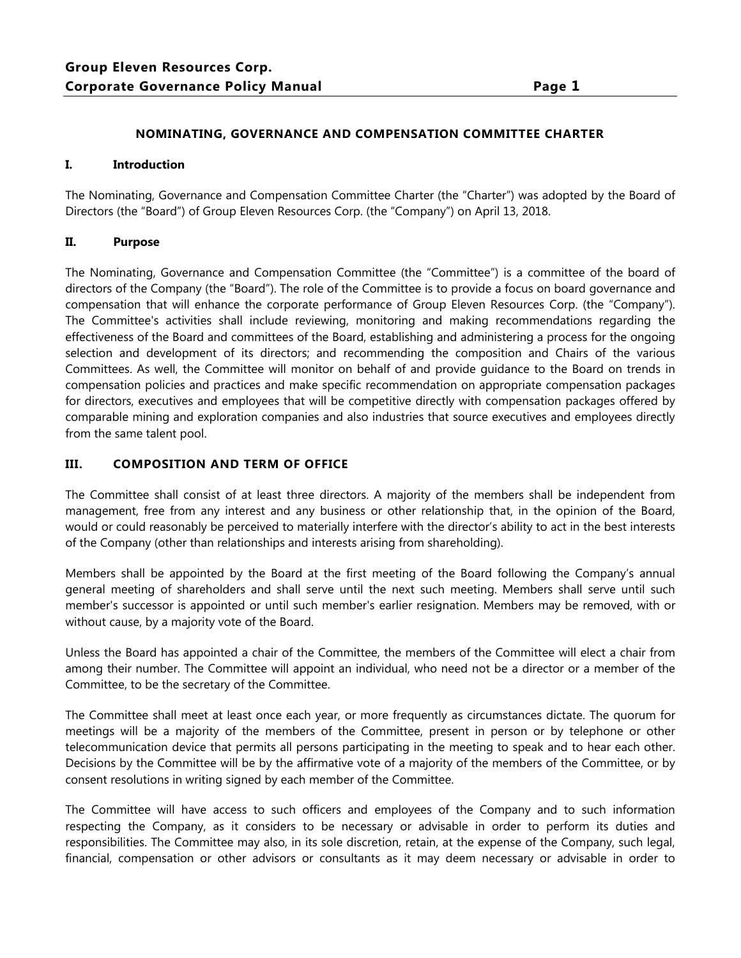## **NOMINATING, GOVERNANCE AND COMPENSATION COMMITTEE CHARTER**

#### **I. Introduction**

The Nominating, Governance and Compensation Committee Charter (the "Charter") was adopted by the Board of Directors (the "Board") of Group Eleven Resources Corp. (the "Company") on April 13, 2018.

### **II. Purpose**

The Nominating, Governance and Compensation Committee (the "Committee") is a committee of the board of directors of the Company (the "Board"). The role of the Committee is to provide a focus on board governance and compensation that will enhance the corporate performance of Group Eleven Resources Corp. (the "Company"). The Committee's activities shall include reviewing, monitoring and making recommendations regarding the effectiveness of the Board and committees of the Board, establishing and administering a process for the ongoing selection and development of its directors; and recommending the composition and Chairs of the various Committees. As well, the Committee will monitor on behalf of and provide guidance to the Board on trends in compensation policies and practices and make specific recommendation on appropriate compensation packages for directors, executives and employees that will be competitive directly with compensation packages offered by comparable mining and exploration companies and also industries that source executives and employees directly from the same talent pool.

### **III. COMPOSITION AND TERM OF OFFICE**

The Committee shall consist of at least three directors. A majority of the members shall be independent from management, free from any interest and any business or other relationship that, in the opinion of the Board, would or could reasonably be perceived to materially interfere with the director's ability to act in the best interests of the Company (other than relationships and interests arising from shareholding).

Members shall be appointed by the Board at the first meeting of the Board following the Company's annual general meeting of shareholders and shall serve until the next such meeting. Members shall serve until such member's successor is appointed or until such member's earlier resignation. Members may be removed, with or without cause, by a majority vote of the Board.

Unless the Board has appointed a chair of the Committee, the members of the Committee will elect a chair from among their number. The Committee will appoint an individual, who need not be a director or a member of the Committee, to be the secretary of the Committee.

The Committee shall meet at least once each year, or more frequently as circumstances dictate. The quorum for meetings will be a majority of the members of the Committee, present in person or by telephone or other telecommunication device that permits all persons participating in the meeting to speak and to hear each other. Decisions by the Committee will be by the affirmative vote of a majority of the members of the Committee, or by consent resolutions in writing signed by each member of the Committee.

The Committee will have access to such officers and employees of the Company and to such information respecting the Company, as it considers to be necessary or advisable in order to perform its duties and responsibilities. The Committee may also, in its sole discretion, retain, at the expense of the Company, such legal, financial, compensation or other advisors or consultants as it may deem necessary or advisable in order to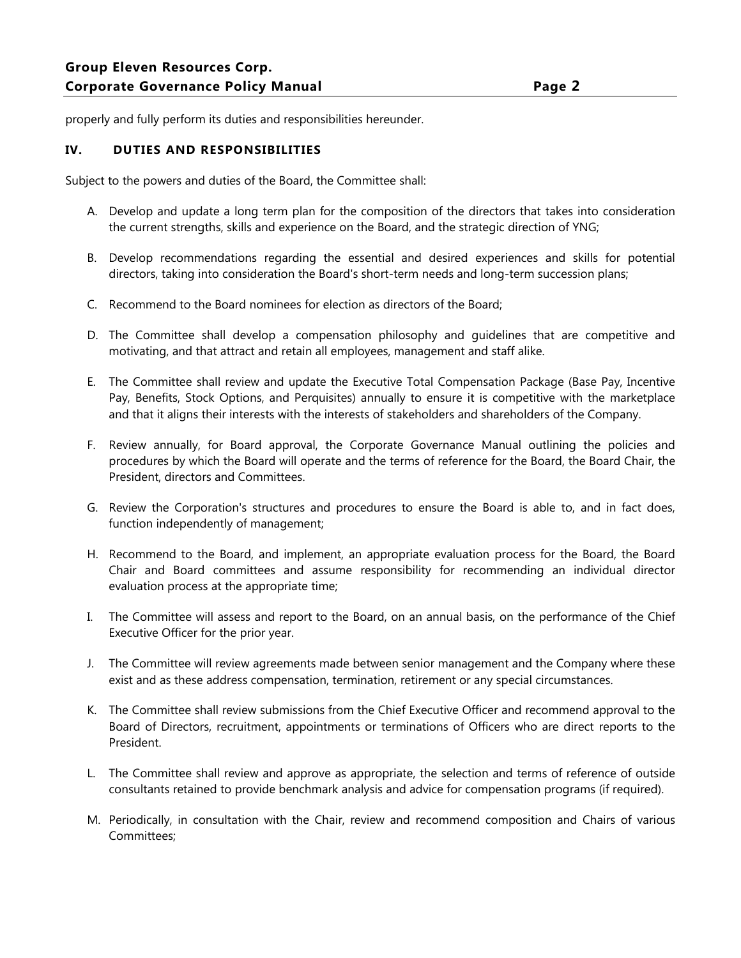properly and fully perform its duties and responsibilities hereunder.

# **IV. DUTIES AND RESPONSIBILITIES**

Subject to the powers and duties of the Board, the Committee shall:

- A. Develop and update a long term plan for the composition of the directors that takes into consideration the current strengths, skills and experience on the Board, and the strategic direction of YNG;
- B. Develop recommendations regarding the essential and desired experiences and skills for potential directors, taking into consideration the Board's short-term needs and long-term succession plans;
- C. Recommend to the Board nominees for election as directors of the Board;
- D. The Committee shall develop a compensation philosophy and guidelines that are competitive and motivating, and that attract and retain all employees, management and staff alike.
- E. The Committee shall review and update the Executive Total Compensation Package (Base Pay, Incentive Pay, Benefits, Stock Options, and Perquisites) annually to ensure it is competitive with the marketplace and that it aligns their interests with the interests of stakeholders and shareholders of the Company.
- F. Review annually, for Board approval, the Corporate Governance Manual outlining the policies and procedures by which the Board will operate and the terms of reference for the Board, the Board Chair, the President, directors and Committees.
- G. Review the Corporation's structures and procedures to ensure the Board is able to, and in fact does, function independently of management;
- H. Recommend to the Board, and implement, an appropriate evaluation process for the Board, the Board Chair and Board committees and assume responsibility for recommending an individual director evaluation process at the appropriate time;
- I. The Committee will assess and report to the Board, on an annual basis, on the performance of the Chief Executive Officer for the prior year.
- J. The Committee will review agreements made between senior management and the Company where these exist and as these address compensation, termination, retirement or any special circumstances.
- K. The Committee shall review submissions from the Chief Executive Officer and recommend approval to the Board of Directors, recruitment, appointments or terminations of Officers who are direct reports to the President.
- L. The Committee shall review and approve as appropriate, the selection and terms of reference of outside consultants retained to provide benchmark analysis and advice for compensation programs (if required).
- M. Periodically, in consultation with the Chair, review and recommend composition and Chairs of various Committees;